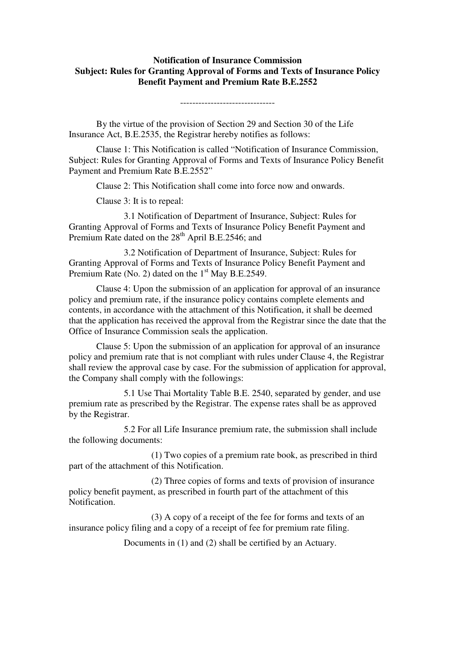## **Notification of Insurance Commission Subject: Rules for Granting Approval of Forms and Texts of Insurance Policy Benefit Payment and Premium Rate B.E.2552**

-------------------------------

 By the virtue of the provision of Section 29 and Section 30 of the Life Insurance Act, B.E.2535, the Registrar hereby notifies as follows:

 Clause 1: This Notification is called "Notification of Insurance Commission, Subject: Rules for Granting Approval of Forms and Texts of Insurance Policy Benefit Payment and Premium Rate B.E.2552"

Clause 2: This Notification shall come into force now and onwards.

Clause 3: It is to repeal:

 3.1 Notification of Department of Insurance, Subject: Rules for Granting Approval of Forms and Texts of Insurance Policy Benefit Payment and Premium Rate dated on the  $28<sup>th</sup>$  April B.E.2546; and

 3.2 Notification of Department of Insurance, Subject: Rules for Granting Approval of Forms and Texts of Insurance Policy Benefit Payment and Premium Rate (No. 2) dated on the  $1<sup>st</sup>$  May B.E.2549.

 Clause 4: Upon the submission of an application for approval of an insurance policy and premium rate, if the insurance policy contains complete elements and contents, in accordance with the attachment of this Notification, it shall be deemed that the application has received the approval from the Registrar since the date that the Office of Insurance Commission seals the application.

 Clause 5: Upon the submission of an application for approval of an insurance policy and premium rate that is not compliant with rules under Clause 4, the Registrar shall review the approval case by case. For the submission of application for approval, the Company shall comply with the followings:

 5.1 Use Thai Mortality Table B.E. 2540, separated by gender, and use premium rate as prescribed by the Registrar. The expense rates shall be as approved by the Registrar.

 5.2 For all Life Insurance premium rate, the submission shall include the following documents:

 (1) Two copies of a premium rate book, as prescribed in third part of the attachment of this Notification.

 (2) Three copies of forms and texts of provision of insurance policy benefit payment, as prescribed in fourth part of the attachment of this Notification.

 (3) A copy of a receipt of the fee for forms and texts of an insurance policy filing and a copy of a receipt of fee for premium rate filing.

Documents in (1) and (2) shall be certified by an Actuary.